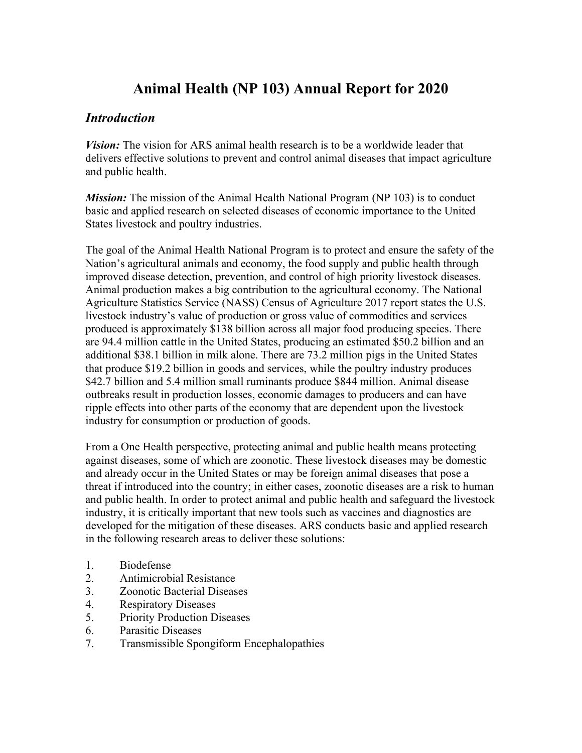# **Animal Health (NP 103) Annual Report for 2020**

## *Introduction*

*Vision:* The vision for ARS animal health research is to be a worldwide leader that delivers effective solutions to prevent and control animal diseases that impact agriculture and public health.

*Mission:* The mission of the Animal Health National Program (NP 103) is to conduct basic and applied research on selected diseases of economic importance to the United States livestock and poultry industries.

The goal of the Animal Health National Program is to protect and ensure the safety of the Nation's agricultural animals and economy, the food supply and public health through improved disease detection, prevention, and control of high priority livestock diseases. Animal production makes a big contribution to the agricultural economy. The National Agriculture Statistics Service (NASS) Census of Agriculture 2017 report states the U.S. livestock industry's value of production or gross value of commodities and services produced is approximately \$138 billion across all major food producing species. There are 94.4 million cattle in the United States, producing an estimated \$50.2 billion and an additional \$38.1 billion in milk alone. There are 73.2 million pigs in the United States that produce \$19.2 billion in goods and services, while the poultry industry produces \$42.7 billion and 5.4 million small ruminants produce \$844 million. Animal disease outbreaks result in production losses, economic damages to producers and can have ripple effects into other parts of the economy that are dependent upon the livestock industry for consumption or production of goods.

From a One Health perspective, protecting animal and public health means protecting against diseases, some of which are zoonotic. These livestock diseases may be domestic and already occur in the United States or may be foreign animal diseases that pose a threat if introduced into the country; in either cases, zoonotic diseases are a risk to human and public health. In order to protect animal and public health and safeguard the livestock industry, it is critically important that new tools such as vaccines and diagnostics are developed for the mitigation of these diseases. ARS conducts basic and applied research in the following research areas to deliver these solutions:

- 1. Biodefense
- 2. Antimicrobial Resistance
- 3. Zoonotic Bacterial Diseases
- 4. Respiratory Diseases
- 5. Priority Production Diseases
- 6. Parasitic Diseases
- 7. Transmissible Spongiform Encephalopathies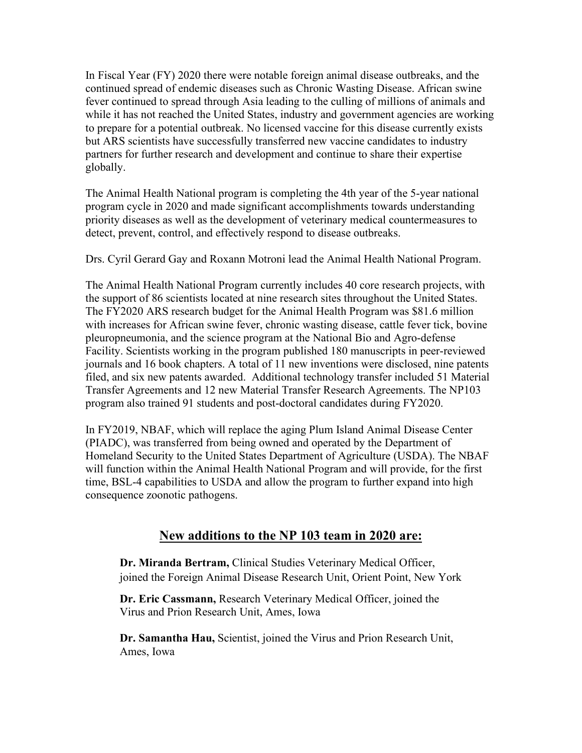In Fiscal Year (FY) 2020 there were notable foreign animal disease outbreaks, and the continued spread of endemic diseases such as Chronic Wasting Disease. African swine fever continued to spread through Asia leading to the culling of millions of animals and while it has not reached the United States, industry and government agencies are working to prepare for a potential outbreak. No licensed vaccine for this disease currently exists but ARS scientists have successfully transferred new vaccine candidates to industry partners for further research and development and continue to share their expertise globally.

The Animal Health National program is completing the 4th year of the 5-year national program cycle in 2020 and made significant accomplishments towards understanding priority diseases as well as the development of veterinary medical countermeasures to detect, prevent, control, and effectively respond to disease outbreaks.

Drs. Cyril Gerard Gay and Roxann Motroni lead the Animal Health National Program.

The Animal Health National Program currently includes 40 core research projects, with the support of 86 scientists located at nine research sites throughout the United States. The FY2020 ARS research budget for the Animal Health Program was \$81.6 million with increases for African swine fever, chronic wasting disease, cattle fever tick, bovine pleuropneumonia, and the science program at the National Bio and Agro-defense Facility. Scientists working in the program published 180 manuscripts in peer-reviewed journals and 16 book chapters. A total of 11 new inventions were disclosed, nine patents filed, and six new patents awarded. Additional technology transfer included 51 Material Transfer Agreements and 12 new Material Transfer Research Agreements. The NP103 program also trained 91 students and post-doctoral candidates during FY2020.

In FY2019, NBAF, which will replace the aging Plum Island Animal Disease Center (PIADC), was transferred from being owned and operated by the Department of Homeland Security to the United States Department of Agriculture (USDA). The NBAF will function within the Animal Health National Program and will provide, for the first time, BSL-4 capabilities to USDA and allow the program to further expand into high consequence zoonotic pathogens.

## **New additions to the NP 103 team in 2020 are:**

**Dr. Miranda Bertram,** Clinical Studies Veterinary Medical Officer, joined the Foreign Animal Disease Research Unit, Orient Point, New York

**Dr. Eric Cassmann,** Research Veterinary Medical Officer, joined the Virus and Prion Research Unit, Ames, Iowa

**Dr. Samantha Hau,** Scientist, joined the Virus and Prion Research Unit, Ames, Iowa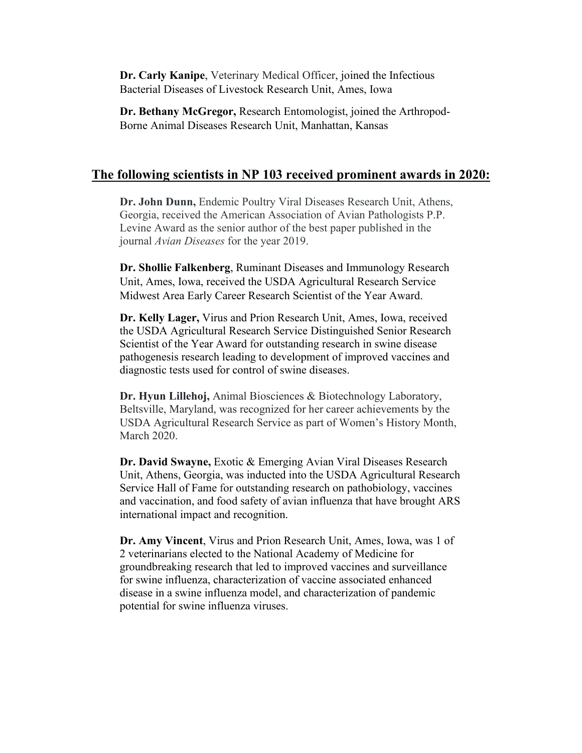**Dr. Carly Kanipe**, Veterinary Medical Officer, joined the Infectious Bacterial Diseases of Livestock Research Unit, Ames, Iowa

**Dr. Bethany McGregor,** Research Entomologist, joined the Arthropod-Borne Animal Diseases Research Unit, Manhattan, Kansas

## **The following scientists in NP 103 received prominent awards in 2020:**

**Dr. John Dunn,** Endemic Poultry Viral Diseases Research Unit, Athens, Georgia, received the American Association of Avian Pathologists P.P. Levine Award as the senior author of the best paper published in the journal *Avian Diseases* for the year 2019.

**Dr. Shollie Falkenberg**, Ruminant Diseases and Immunology Research Unit, Ames, Iowa, received the USDA Agricultural Research Service Midwest Area Early Career Research Scientist of the Year Award.

**Dr. Kelly Lager,** Virus and Prion Research Unit, Ames, Iowa, received the USDA Agricultural Research Service Distinguished Senior Research Scientist of the Year Award for outstanding research in swine disease pathogenesis research leading to development of improved vaccines and diagnostic tests used for control of swine diseases.

**Dr. Hyun Lillehoj,** Animal Biosciences & Biotechnology Laboratory, Beltsville, Maryland, was recognized for her career achievements by the USDA Agricultural Research Service as part of Women's History Month, March 2020.

**Dr. David Swayne,** Exotic & Emerging Avian Viral Diseases Research Unit, Athens, Georgia, was inducted into the USDA Agricultural Research Service Hall of Fame for outstanding research on pathobiology, vaccines and vaccination, and food safety of avian influenza that have brought ARS international impact and recognition.

**Dr. Amy Vincent**, Virus and Prion Research Unit, Ames, Iowa, was 1 of 2 veterinarians elected to the National Academy of Medicine for groundbreaking research that led to improved vaccines and surveillance for swine influenza, characterization of vaccine associated enhanced disease in a swine influenza model, and characterization of pandemic potential for swine influenza viruses.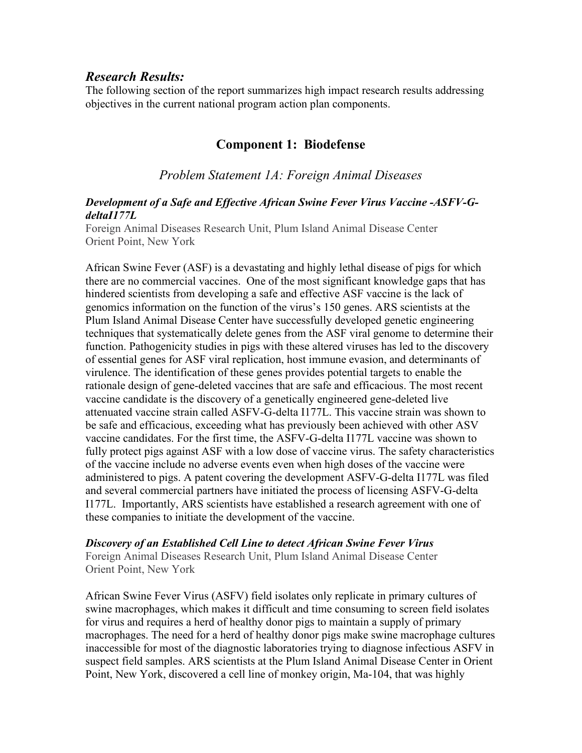### *Research Results:*

The following section of the report summarizes high impact research results addressing objectives in the current national program action plan components.

## **Component 1: Biodefense**

## *Problem Statement 1A: Foreign Animal Diseases*

### *Development of a Safe and Effective African Swine Fever Virus Vaccine -ASFV-GdeltaI177L*

Foreign Animal Diseases Research Unit, Plum Island Animal Disease Center Orient Point, New York

African Swine Fever (ASF) is a devastating and highly lethal disease of pigs for which there are no commercial vaccines. One of the most significant knowledge gaps that has hindered scientists from developing a safe and effective ASF vaccine is the lack of genomics information on the function of the virus's 150 genes. ARS scientists at the Plum Island Animal Disease Center have successfully developed genetic engineering techniques that systematically delete genes from the ASF viral genome to determine their function. Pathogenicity studies in pigs with these altered viruses has led to the discovery of essential genes for ASF viral replication, host immune evasion, and determinants of virulence. The identification of these genes provides potential targets to enable the rationale design of gene-deleted vaccines that are safe and efficacious. The most recent vaccine candidate is the discovery of a genetically engineered gene-deleted live attenuated vaccine strain called ASFV-G-delta I177L. This vaccine strain was shown to be safe and efficacious, exceeding what has previously been achieved with other ASV vaccine candidates. For the first time, the ASFV-G-delta I177L vaccine was shown to fully protect pigs against ASF with a low dose of vaccine virus. The safety characteristics of the vaccine include no adverse events even when high doses of the vaccine were administered to pigs. A patent covering the development ASFV-G-delta I177L was filed and several commercial partners have initiated the process of licensing ASFV-G-delta I177L. Importantly, ARS scientists have established a research agreement with one of these companies to initiate the development of the vaccine.

#### *Discovery of an Established Cell Line to detect African Swine Fever Virus*

Foreign Animal Diseases Research Unit, Plum Island Animal Disease Center Orient Point, New York

African Swine Fever Virus (ASFV) field isolates only replicate in primary cultures of swine macrophages, which makes it difficult and time consuming to screen field isolates for virus and requires a herd of healthy donor pigs to maintain a supply of primary macrophages. The need for a herd of healthy donor pigs make swine macrophage cultures inaccessible for most of the diagnostic laboratories trying to diagnose infectious ASFV in suspect field samples. ARS scientists at the Plum Island Animal Disease Center in Orient Point, New York, discovered a cell line of monkey origin, Ma-104, that was highly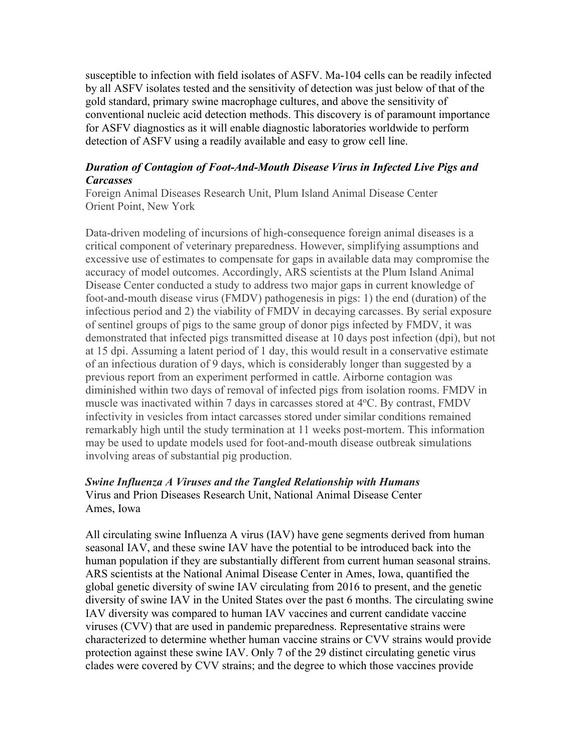susceptible to infection with field isolates of ASFV. Ma-104 cells can be readily infected by all ASFV isolates tested and the sensitivity of detection was just below of that of the gold standard, primary swine macrophage cultures, and above the sensitivity of conventional nucleic acid detection methods. This discovery is of paramount importance for ASFV diagnostics as it will enable diagnostic laboratories worldwide to perform detection of ASFV using a readily available and easy to grow cell line.

### *Duration of Contagion of Foot-And-Mouth Disease Virus in Infected Live Pigs and Carcasses*

Foreign Animal Diseases Research Unit, Plum Island Animal Disease Center Orient Point, New York

Data-driven modeling of incursions of high-consequence foreign animal diseases is a critical component of veterinary preparedness. However, simplifying assumptions and excessive use of estimates to compensate for gaps in available data may compromise the accuracy of model outcomes. Accordingly, ARS scientists at the Plum Island Animal Disease Center conducted a study to address two major gaps in current knowledge of foot-and-mouth disease virus (FMDV) pathogenesis in pigs: 1) the end (duration) of the infectious period and 2) the viability of FMDV in decaying carcasses. By serial exposure of sentinel groups of pigs to the same group of donor pigs infected by FMDV, it was demonstrated that infected pigs transmitted disease at 10 days post infection (dpi), but not at 15 dpi. Assuming a latent period of 1 day, this would result in a conservative estimate of an infectious duration of 9 days, which is considerably longer than suggested by a previous report from an experiment performed in cattle. Airborne contagion was diminished within two days of removal of infected pigs from isolation rooms. FMDV in muscle was inactivated within 7 days in carcasses stored at 4°C. By contrast, FMDV infectivity in vesicles from intact carcasses stored under similar conditions remained remarkably high until the study termination at 11 weeks post-mortem. This information may be used to update models used for foot-and-mouth disease outbreak simulations involving areas of substantial pig production.

### *Swine Influenza A Viruses and the Tangled Relationship with Humans*

Virus and Prion Diseases Research Unit, National Animal Disease Center Ames, Iowa

All circulating swine Influenza A virus (IAV) have gene segments derived from human seasonal IAV, and these swine IAV have the potential to be introduced back into the human population if they are substantially different from current human seasonal strains. ARS scientists at the National Animal Disease Center in Ames, Iowa, quantified the global genetic diversity of swine IAV circulating from 2016 to present, and the genetic diversity of swine IAV in the United States over the past 6 months. The circulating swine IAV diversity was compared to human IAV vaccines and current candidate vaccine viruses (CVV) that are used in pandemic preparedness. Representative strains were characterized to determine whether human vaccine strains or CVV strains would provide protection against these swine IAV. Only 7 of the 29 distinct circulating genetic virus clades were covered by CVV strains; and the degree to which those vaccines provide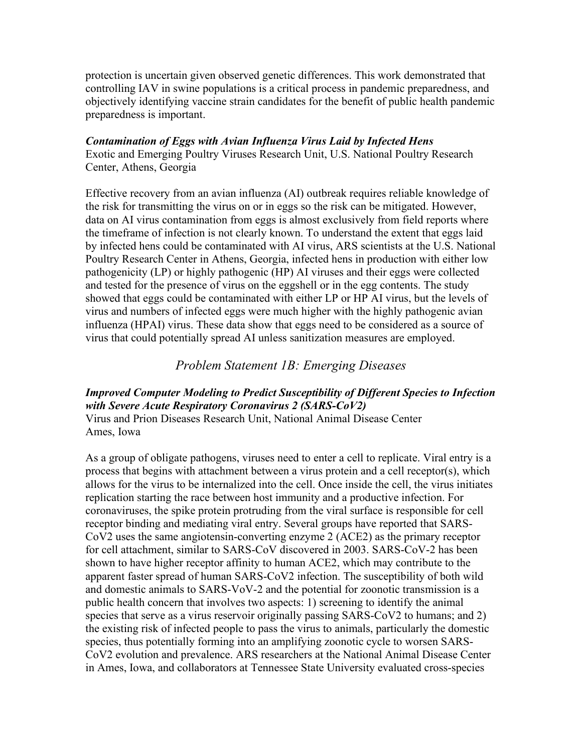protection is uncertain given observed genetic differences. This work demonstrated that controlling IAV in swine populations is a critical process in pandemic preparedness, and objectively identifying vaccine strain candidates for the benefit of public health pandemic preparedness is important.

#### *Contamination of Eggs with Avian Influenza Virus Laid by Infected Hens*

Exotic and Emerging Poultry Viruses Research Unit, U.S. National Poultry Research Center, Athens, Georgia

Effective recovery from an avian influenza (AI) outbreak requires reliable knowledge of the risk for transmitting the virus on or in eggs so the risk can be mitigated. However, data on AI virus contamination from eggs is almost exclusively from field reports where the timeframe of infection is not clearly known. To understand the extent that eggs laid by infected hens could be contaminated with AI virus, ARS scientists at the U.S. National Poultry Research Center in Athens, Georgia, infected hens in production with either low pathogenicity (LP) or highly pathogenic (HP) AI viruses and their eggs were collected and tested for the presence of virus on the eggshell or in the egg contents. The study showed that eggs could be contaminated with either LP or HP AI virus, but the levels of virus and numbers of infected eggs were much higher with the highly pathogenic avian influenza (HPAI) virus. These data show that eggs need to be considered as a source of virus that could potentially spread AI unless sanitization measures are employed.

## *Problem Statement 1B: Emerging Diseases*

#### *Improved Computer Modeling to Predict Susceptibility of Different Species to Infection with Severe Acute Respiratory Coronavirus 2 (SARS-CoV2)* Virus and Prion Diseases Research Unit, National Animal Disease Center

Ames, Iowa

As a group of obligate pathogens, viruses need to enter a cell to replicate. Viral entry is a process that begins with attachment between a virus protein and a cell receptor(s), which allows for the virus to be internalized into the cell. Once inside the cell, the virus initiates replication starting the race between host immunity and a productive infection. For coronaviruses, the spike protein protruding from the viral surface is responsible for cell receptor binding and mediating viral entry. Several groups have reported that SARS-CoV2 uses the same angiotensin-converting enzyme 2 (ACE2) as the primary receptor for cell attachment, similar to SARS-CoV discovered in 2003. SARS-CoV-2 has been shown to have higher receptor affinity to human ACE2, which may contribute to the apparent faster spread of human SARS-CoV2 infection. The susceptibility of both wild and domestic animals to SARS-VoV-2 and the potential for zoonotic transmission is a public health concern that involves two aspects: 1) screening to identify the animal species that serve as a virus reservoir originally passing SARS-CoV2 to humans; and 2) the existing risk of infected people to pass the virus to animals, particularly the domestic species, thus potentially forming into an amplifying zoonotic cycle to worsen SARS-CoV2 evolution and prevalence. ARS researchers at the National Animal Disease Center in Ames, Iowa, and collaborators at Tennessee State University evaluated cross-species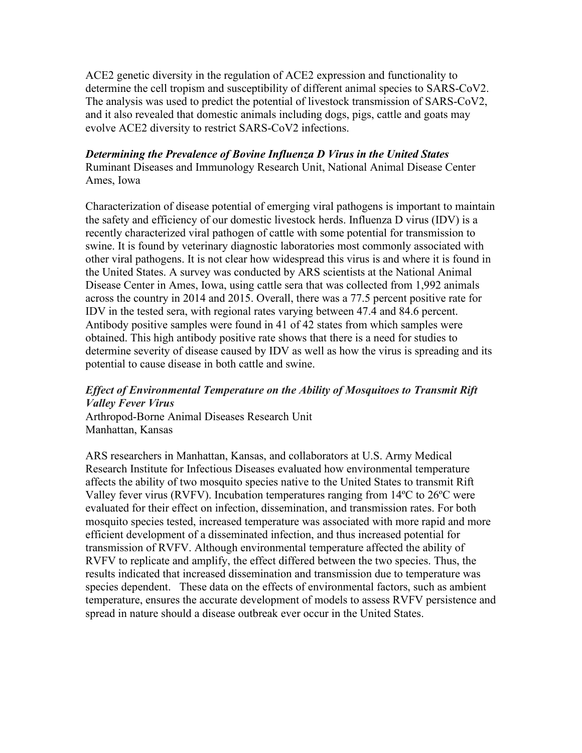ACE2 genetic diversity in the regulation of ACE2 expression and functionality to determine the cell tropism and susceptibility of different animal species to SARS-CoV2. The analysis was used to predict the potential of livestock transmission of SARS-CoV2, and it also revealed that domestic animals including dogs, pigs, cattle and goats may evolve ACE2 diversity to restrict SARS-CoV2 infections.

### *Determining the Prevalence of Bovine Influenza D Virus in the United States* Ruminant Diseases and Immunology Research Unit, National Animal Disease Center Ames, Iowa

Characterization of disease potential of emerging viral pathogens is important to maintain the safety and efficiency of our domestic livestock herds. Influenza D virus (IDV) is a recently characterized viral pathogen of cattle with some potential for transmission to swine. It is found by veterinary diagnostic laboratories most commonly associated with other viral pathogens. It is not clear how widespread this virus is and where it is found in the United States. A survey was conducted by ARS scientists at the National Animal Disease Center in Ames, Iowa, using cattle sera that was collected from 1,992 animals across the country in 2014 and 2015. Overall, there was a 77.5 percent positive rate for IDV in the tested sera, with regional rates varying between 47.4 and 84.6 percent. Antibody positive samples were found in 41 of 42 states from which samples were obtained. This high antibody positive rate shows that there is a need for studies to determine severity of disease caused by IDV as well as how the virus is spreading and its potential to cause disease in both cattle and swine.

### *Effect of Environmental Temperature on the Ability of Mosquitoes to Transmit Rift Valley Fever Virus* Arthropod-Borne Animal Diseases Research Unit

Manhattan, Kansas

ARS researchers in Manhattan, Kansas, and collaborators at U.S. Army Medical Research Institute for Infectious Diseases evaluated how environmental temperature affects the ability of two mosquito species native to the United States to transmit Rift Valley fever virus (RVFV). Incubation temperatures ranging from 14ºC to 26ºC were evaluated for their effect on infection, dissemination, and transmission rates. For both mosquito species tested, increased temperature was associated with more rapid and more efficient development of a disseminated infection, and thus increased potential for transmission of RVFV. Although environmental temperature affected the ability of RVFV to replicate and amplify, the effect differed between the two species. Thus, the results indicated that increased dissemination and transmission due to temperature was species dependent. These data on the effects of environmental factors, such as ambient temperature, ensures the accurate development of models to assess RVFV persistence and spread in nature should a disease outbreak ever occur in the United States.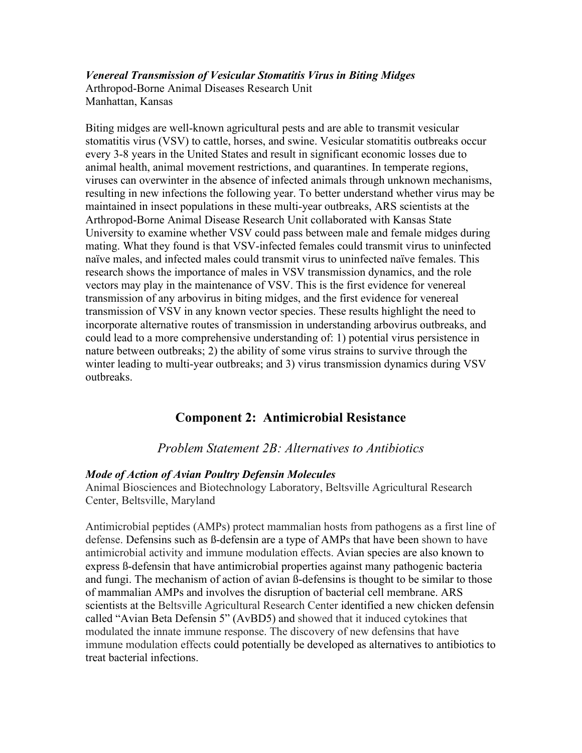*Venereal Transmission of Vesicular Stomatitis Virus in Biting Midges* Arthropod-Borne Animal Diseases Research Unit Manhattan, Kansas

Biting midges are well-known agricultural pests and are able to transmit vesicular stomatitis virus (VSV) to cattle, horses, and swine. Vesicular stomatitis outbreaks occur every 3-8 years in the United States and result in significant economic losses due to animal health, animal movement restrictions, and quarantines. In temperate regions, viruses can overwinter in the absence of infected animals through unknown mechanisms, resulting in new infections the following year. To better understand whether virus may be maintained in insect populations in these multi-year outbreaks, ARS scientists at the Arthropod-Borne Animal Disease Research Unit collaborated with Kansas State University to examine whether VSV could pass between male and female midges during mating. What they found is that VSV-infected females could transmit virus to uninfected naïve males, and infected males could transmit virus to uninfected naïve females. This research shows the importance of males in VSV transmission dynamics, and the role vectors may play in the maintenance of VSV. This is the first evidence for venereal transmission of any arbovirus in biting midges, and the first evidence for venereal transmission of VSV in any known vector species. These results highlight the need to incorporate alternative routes of transmission in understanding arbovirus outbreaks, and could lead to a more comprehensive understanding of: 1) potential virus persistence in nature between outbreaks; 2) the ability of some virus strains to survive through the winter leading to multi-year outbreaks; and 3) virus transmission dynamics during VSV outbreaks.

## **Component 2: Antimicrobial Resistance**

## *Problem Statement 2B: Alternatives to Antibiotics*

### *Mode of Action of Avian Poultry Defensin Molecules*

Animal Biosciences and Biotechnology Laboratory, Beltsville Agricultural Research Center, Beltsville, Maryland

Antimicrobial peptides (AMPs) protect mammalian hosts from pathogens as a first line of defense. Defensins such as ß-defensin are a type of AMPs that have been shown to have antimicrobial activity and immune modulation effects. Avian species are also known to express ß-defensin that have antimicrobial properties against many pathogenic bacteria and fungi. The mechanism of action of avian ß-defensins is thought to be similar to those of mammalian AMPs and involves the disruption of bacterial cell membrane. ARS scientists at the Beltsville Agricultural Research Center identified a new chicken defensin called "Avian Beta Defensin 5" (AvBD5) and showed that it induced cytokines that modulated the innate immune response. The discovery of new defensins that have immune modulation effects could potentially be developed as alternatives to antibiotics to treat bacterial infections.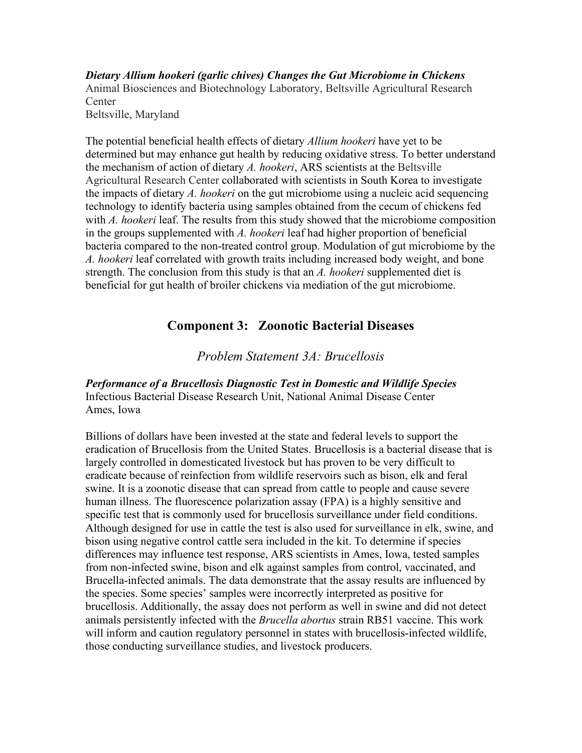*Dietary Allium hookeri (garlic chives) Changes the Gut Microbiome in Chickens* Animal Biosciences and Biotechnology Laboratory, Beltsville Agricultural Research Center Beltsville, Maryland

The potential beneficial health effects of dietary *Allium hookeri* have yet to be determined but may enhance gut health by reducing oxidative stress. To better understand the mechanism of action of dietary *A. hookeri*, ARS scientists at the Beltsville Agricultural Research Center collaborated with scientists in South Korea to investigate the impacts of dietary *A. hookeri* on the gut microbiome using a nucleic acid sequencing technology to identify bacteria using samples obtained from the cecum of chickens fed with *A. hookeri* leaf. The results from this study showed that the microbiome composition in the groups supplemented with *A. hookeri* leaf had higher proportion of beneficial bacteria compared to the non-treated control group. Modulation of gut microbiome by the *A. hookeri* leaf correlated with growth traits including increased body weight, and bone strength. The conclusion from this study is that an *A. hookeri* supplemented diet is beneficial for gut health of broiler chickens via mediation of the gut microbiome.

## **Component 3: Zoonotic Bacterial Diseases**

*Problem Statement 3A: Brucellosis*

*Performance of a Brucellosis Diagnostic Test in Domestic and Wildlife Species* Infectious Bacterial Disease Research Unit, National Animal Disease Center Ames, Iowa

Billions of dollars have been invested at the state and federal levels to support the eradication of Brucellosis from the United States. Brucellosis is a bacterial disease that is largely controlled in domesticated livestock but has proven to be very difficult to eradicate because of reinfection from wildlife reservoirs such as bison, elk and feral swine. It is a zoonotic disease that can spread from cattle to people and cause severe human illness. The fluorescence polarization assay (FPA) is a highly sensitive and specific test that is commonly used for brucellosis surveillance under field conditions. Although designed for use in cattle the test is also used for surveillance in elk, swine, and bison using negative control cattle sera included in the kit. To determine if species differences may influence test response, ARS scientists in Ames, Iowa, tested samples from non-infected swine, bison and elk against samples from control, vaccinated, and Brucella-infected animals. The data demonstrate that the assay results are influenced by the species. Some species' samples were incorrectly interpreted as positive for brucellosis. Additionally, the assay does not perform as well in swine and did not detect animals persistently infected with the *Brucella abortus* strain RB51 vaccine. This work will inform and caution regulatory personnel in states with brucellosis-infected wildlife, those conducting surveillance studies, and livestock producers.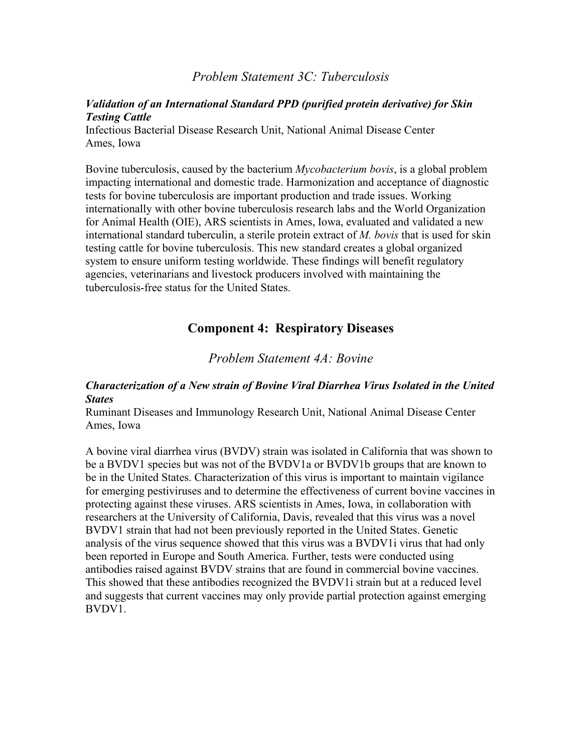### *Problem Statement 3C: Tuberculosis*

### *Validation of an International Standard PPD (purified protein derivative) for Skin Testing Cattle*

Infectious Bacterial Disease Research Unit, National Animal Disease Center Ames, Iowa

Bovine tuberculosis, caused by the bacterium *Mycobacterium bovis*, is a global problem impacting international and domestic trade. Harmonization and acceptance of diagnostic tests for bovine tuberculosis are important production and trade issues. Working internationally with other bovine tuberculosis research labs and the World Organization for Animal Health (OIE), ARS scientists in Ames, Iowa, evaluated and validated a new international standard tuberculin, a sterile protein extract of *M. bovis* that is used for skin testing cattle for bovine tuberculosis. This new standard creates a global organized system to ensure uniform testing worldwide. These findings will benefit regulatory agencies, veterinarians and livestock producers involved with maintaining the tuberculosis-free status for the United States.

## **Component 4: Respiratory Diseases**

*Problem Statement 4A: Bovine*

### *Characterization of a New strain of Bovine Viral Diarrhea Virus Isolated in the United States*

Ruminant Diseases and Immunology Research Unit, National Animal Disease Center Ames, Iowa

A bovine viral diarrhea virus (BVDV) strain was isolated in California that was shown to be a BVDV1 species but was not of the BVDV1a or BVDV1b groups that are known to be in the United States. Characterization of this virus is important to maintain vigilance for emerging pestiviruses and to determine the effectiveness of current bovine vaccines in protecting against these viruses. ARS scientists in Ames, Iowa, in collaboration with researchers at the University of California, Davis, revealed that this virus was a novel BVDV1 strain that had not been previously reported in the United States. Genetic analysis of the virus sequence showed that this virus was a BVDV1i virus that had only been reported in Europe and South America. Further, tests were conducted using antibodies raised against BVDV strains that are found in commercial bovine vaccines. This showed that these antibodies recognized the BVDV1i strain but at a reduced level and suggests that current vaccines may only provide partial protection against emerging BVDV1.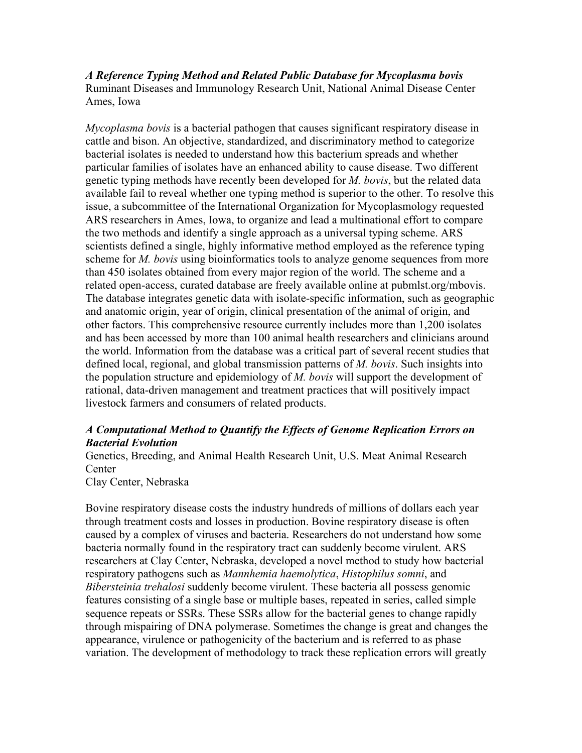*A Reference Typing Method and Related Public Database for Mycoplasma bovis*  Ruminant Diseases and Immunology Research Unit, National Animal Disease Center Ames, Iowa

*Mycoplasma bovis* is a bacterial pathogen that causes significant respiratory disease in cattle and bison. An objective, standardized, and discriminatory method to categorize bacterial isolates is needed to understand how this bacterium spreads and whether particular families of isolates have an enhanced ability to cause disease. Two different genetic typing methods have recently been developed for *M. bovis*, but the related data available fail to reveal whether one typing method is superior to the other. To resolve this issue, a subcommittee of the International Organization for Mycoplasmology requested ARS researchers in Ames, Iowa, to organize and lead a multinational effort to compare the two methods and identify a single approach as a universal typing scheme. ARS scientists defined a single, highly informative method employed as the reference typing scheme for *M. bovis* using bioinformatics tools to analyze genome sequences from more than 450 isolates obtained from every major region of the world. The scheme and a related open-access, curated database are freely available online at pubmlst.org/mbovis. The database integrates genetic data with isolate-specific information, such as geographic and anatomic origin, year of origin, clinical presentation of the animal of origin, and other factors. This comprehensive resource currently includes more than 1,200 isolates and has been accessed by more than 100 animal health researchers and clinicians around the world. Information from the database was a critical part of several recent studies that defined local, regional, and global transmission patterns of *M. bovis*. Such insights into the population structure and epidemiology of *M. bovis* will support the development of rational, data-driven management and treatment practices that will positively impact livestock farmers and consumers of related products.

### *A Computational Method to Quantify the Effects of Genome Replication Errors on Bacterial Evolution*

Genetics, Breeding, and Animal Health Research Unit, U.S. Meat Animal Research Center

Clay Center, Nebraska

Bovine respiratory disease costs the industry hundreds of millions of dollars each year through treatment costs and losses in production. Bovine respiratory disease is often caused by a complex of viruses and bacteria. Researchers do not understand how some bacteria normally found in the respiratory tract can suddenly become virulent. ARS researchers at Clay Center, Nebraska, developed a novel method to study how bacterial respiratory pathogens such as *Mannhemia haemolytica*, *Histophilus somni*, and *Bibersteinia trehalosi* suddenly become virulent. These bacteria all possess genomic features consisting of a single base or multiple bases, repeated in series, called simple sequence repeats or SSRs. These SSRs allow for the bacterial genes to change rapidly through mispairing of DNA polymerase. Sometimes the change is great and changes the appearance, virulence or pathogenicity of the bacterium and is referred to as phase variation. The development of methodology to track these replication errors will greatly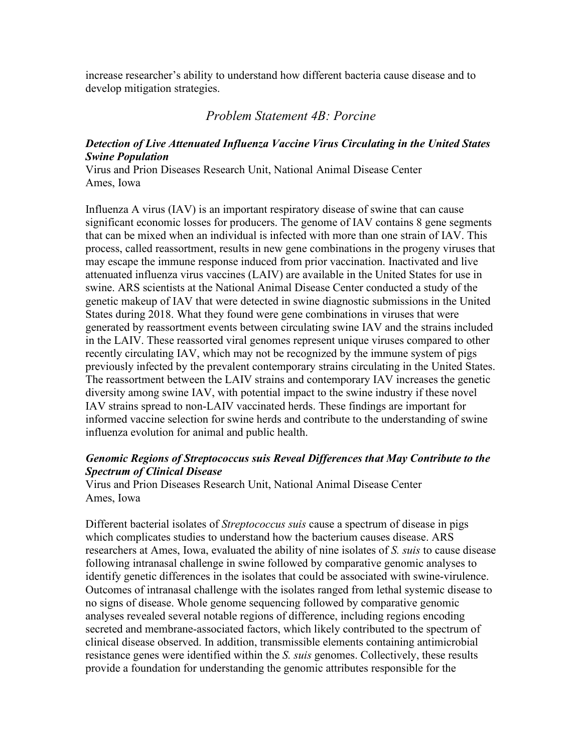increase researcher's ability to understand how different bacteria cause disease and to develop mitigation strategies.

## *Problem Statement 4B: Porcine*

### *Detection of Live Attenuated Influenza Vaccine Virus Circulating in the United States Swine Population*

Virus and Prion Diseases Research Unit, National Animal Disease Center Ames, Iowa

Influenza A virus (IAV) is an important respiratory disease of swine that can cause significant economic losses for producers. The genome of IAV contains 8 gene segments that can be mixed when an individual is infected with more than one strain of IAV. This process, called reassortment, results in new gene combinations in the progeny viruses that may escape the immune response induced from prior vaccination. Inactivated and live attenuated influenza virus vaccines (LAIV) are available in the United States for use in swine. ARS scientists at the National Animal Disease Center conducted a study of the genetic makeup of IAV that were detected in swine diagnostic submissions in the United States during 2018. What they found were gene combinations in viruses that were generated by reassortment events between circulating swine IAV and the strains included in the LAIV. These reassorted viral genomes represent unique viruses compared to other recently circulating IAV, which may not be recognized by the immune system of pigs previously infected by the prevalent contemporary strains circulating in the United States. The reassortment between the LAIV strains and contemporary IAV increases the genetic diversity among swine IAV, with potential impact to the swine industry if these novel IAV strains spread to non-LAIV vaccinated herds. These findings are important for informed vaccine selection for swine herds and contribute to the understanding of swine influenza evolution for animal and public health.

## *Genomic Regions of Streptococcus suis Reveal Differences that May Contribute to the Spectrum of Clinical Disease*

Virus and Prion Diseases Research Unit, National Animal Disease Center Ames, Iowa

Different bacterial isolates of *Streptococcus suis* cause a spectrum of disease in pigs which complicates studies to understand how the bacterium causes disease. ARS researchers at Ames, Iowa, evaluated the ability of nine isolates of *S. suis* to cause disease following intranasal challenge in swine followed by comparative genomic analyses to identify genetic differences in the isolates that could be associated with swine-virulence. Outcomes of intranasal challenge with the isolates ranged from lethal systemic disease to no signs of disease. Whole genome sequencing followed by comparative genomic analyses revealed several notable regions of difference, including regions encoding secreted and membrane-associated factors, which likely contributed to the spectrum of clinical disease observed. In addition, transmissible elements containing antimicrobial resistance genes were identified within the *S. suis* genomes. Collectively, these results provide a foundation for understanding the genomic attributes responsible for the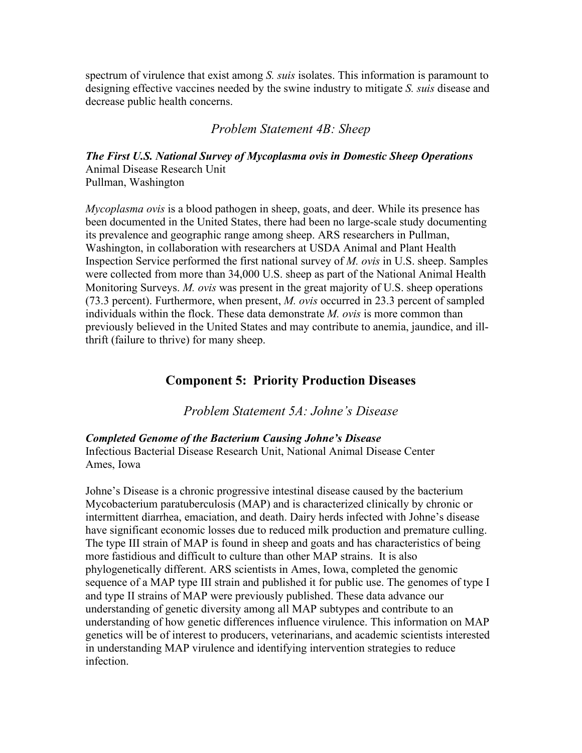spectrum of virulence that exist among *S. suis* isolates. This information is paramount to designing effective vaccines needed by the swine industry to mitigate *S. suis* disease and decrease public health concerns.

*Problem Statement 4B: Sheep*

*The First U.S. National Survey of Mycoplasma ovis in Domestic Sheep Operations*  Animal Disease Research Unit Pullman, Washington

*Mycoplasma ovis* is a blood pathogen in sheep, goats, and deer. While its presence has been documented in the United States, there had been no large-scale study documenting its prevalence and geographic range among sheep. ARS researchers in Pullman, Washington, in collaboration with researchers at USDA Animal and Plant Health Inspection Service performed the first national survey of *M. ovis* in U.S. sheep. Samples were collected from more than 34,000 U.S. sheep as part of the National Animal Health Monitoring Surveys. *M. ovis* was present in the great majority of U.S. sheep operations (73.3 percent). Furthermore, when present, *M. ovis* occurred in 23.3 percent of sampled individuals within the flock. These data demonstrate *M. ovis* is more common than previously believed in the United States and may contribute to anemia, jaundice, and illthrift (failure to thrive) for many sheep.

## **Component 5: Priority Production Diseases**

*Problem Statement 5A: Johne's Disease*

### *Completed Genome of the Bacterium Causing Johne's Disease*

Infectious Bacterial Disease Research Unit, National Animal Disease Center Ames, Iowa

Johne's Disease is a chronic progressive intestinal disease caused by the bacterium Mycobacterium paratuberculosis (MAP) and is characterized clinically by chronic or intermittent diarrhea, emaciation, and death. Dairy herds infected with Johne's disease have significant economic losses due to reduced milk production and premature culling. The type III strain of MAP is found in sheep and goats and has characteristics of being more fastidious and difficult to culture than other MAP strains. It is also phylogenetically different. ARS scientists in Ames, Iowa, completed the genomic sequence of a MAP type III strain and published it for public use. The genomes of type I and type II strains of MAP were previously published. These data advance our understanding of genetic diversity among all MAP subtypes and contribute to an understanding of how genetic differences influence virulence. This information on MAP genetics will be of interest to producers, veterinarians, and academic scientists interested in understanding MAP virulence and identifying intervention strategies to reduce infection.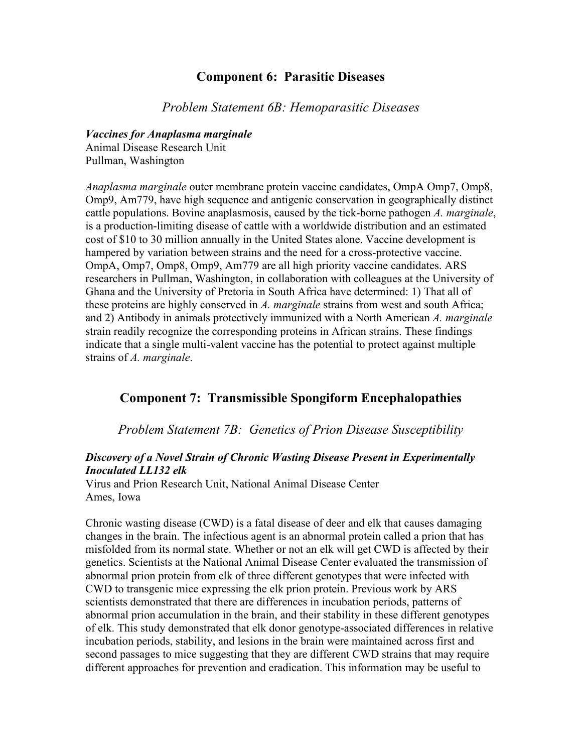## **Component 6: Parasitic Diseases**

*Problem Statement 6B: Hemoparasitic Diseases*

*Vaccines for Anaplasma marginale* Animal Disease Research Unit Pullman, Washington

*Anaplasma marginale* outer membrane protein vaccine candidates, OmpA Omp7, Omp8, Omp9, Am779, have high sequence and antigenic conservation in geographically distinct cattle populations. Bovine anaplasmosis, caused by the tick-borne pathogen *A. marginale*, is a production-limiting disease of cattle with a worldwide distribution and an estimated cost of \$10 to 30 million annually in the United States alone. Vaccine development is hampered by variation between strains and the need for a cross-protective vaccine. OmpA, Omp7, Omp8, Omp9, Am779 are all high priority vaccine candidates. ARS researchers in Pullman, Washington, in collaboration with colleagues at the University of Ghana and the University of Pretoria in South Africa have determined: 1) That all of these proteins are highly conserved in *A. marginale* strains from west and south Africa; and 2) Antibody in animals protectively immunized with a North American *A. marginale* strain readily recognize the corresponding proteins in African strains. These findings indicate that a single multi-valent vaccine has the potential to protect against multiple strains of *A. marginale*.

## **Component 7: Transmissible Spongiform Encephalopathies**

*Problem Statement 7B: Genetics of Prion Disease Susceptibility*

## *Discovery of a Novel Strain of Chronic Wasting Disease Present in Experimentally Inoculated LL132 elk*

Virus and Prion Research Unit, National Animal Disease Center Ames, Iowa

Chronic wasting disease (CWD) is a fatal disease of deer and elk that causes damaging changes in the brain. The infectious agent is an abnormal protein called a prion that has misfolded from its normal state. Whether or not an elk will get CWD is affected by their genetics. Scientists at the National Animal Disease Center evaluated the transmission of abnormal prion protein from elk of three different genotypes that were infected with CWD to transgenic mice expressing the elk prion protein. Previous work by ARS scientists demonstrated that there are differences in incubation periods, patterns of abnormal prion accumulation in the brain, and their stability in these different genotypes of elk. This study demonstrated that elk donor genotype-associated differences in relative incubation periods, stability, and lesions in the brain were maintained across first and second passages to mice suggesting that they are different CWD strains that may require different approaches for prevention and eradication. This information may be useful to